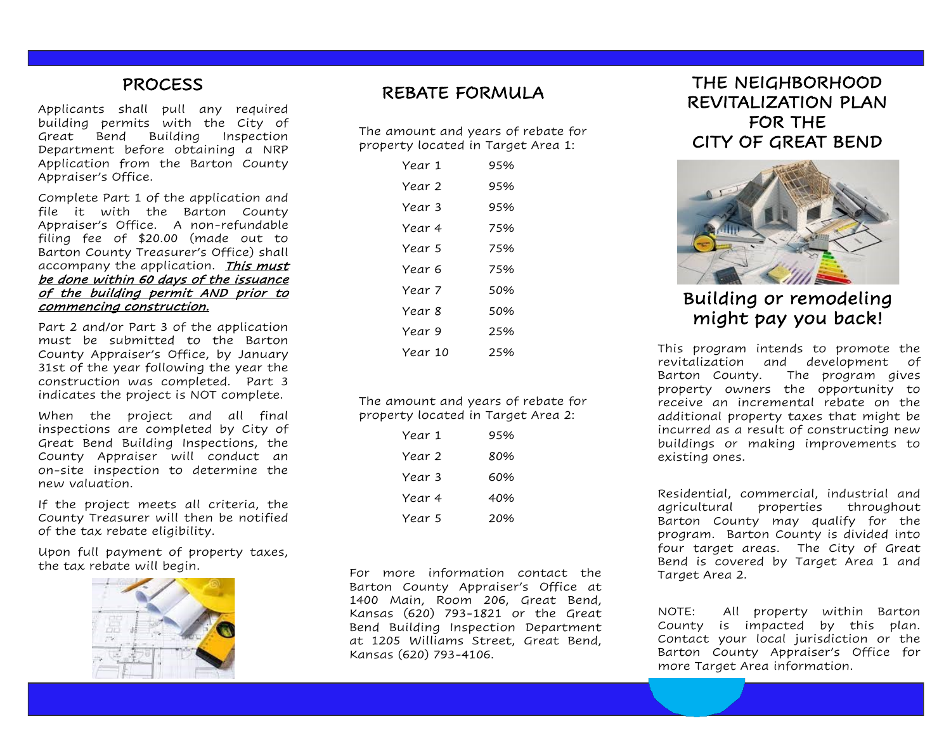### PROCESS

Applicants shall pull any required building permits with the City of Great Bend Building Inspection Department before obtaining a NRP Application from the Barton County Appraiser's Office.

Complete Part 1 of the application and file it with the Barton County Appraiser's Office. A non-refundable filing fee of \$20.00 (made out to Barton County Treasurer's Office) shall accompany the application. This must be done within 60 days of the issuance of the building permit AND prior to commencing construction.

Part 2 and/or Part 3 of the application must be submitted to the Barton County Appraiser's Office, by January 31st of the year following the year the construction was completed. Part 3 indicates the project is NOT complete.

When the project and all final inspections are completed by City of Great Bend Building Inspections, the County Appraiser will conduct an on-site inspection to determine the new valuation.

If the project meets all criteria, the County Treasurer will then be notified of the tax rebate eligibility.

Upon full payment of property taxes, the tax rebate will begin.



## REBATE FORMULA

The amount and years of rebate for property located in Target Area 1:

| Year 1  | 95% |
|---------|-----|
| Year 2  | 95% |
| Year 3  | 95% |
| Year 4  | 75% |
| Year 5  | 75% |
| Year 6  | 75% |
| Year 7  | 50% |
| Year 8  | 50% |
| Year 9  | 25% |
| Year 10 | 25% |

The amount and years of rebate for property located in Target Area 2:

| Year 1 | 95% |
|--------|-----|
| Year 2 | 80% |
| Year 3 | 60% |
| Year 4 | 40% |
| Year 5 | 20% |

For more information contact the Barton County Appraiser's Office at 1400 Main, Room 206, Great Bend, Kansas (620) 793-1821 or the Great Bend Building Inspection Department at 1205 Williams Street, Great Bend, Kansas (620) 793-4106.

THE NEIGHBORHOOD REVITALIZATION PLAN FOR THE CITY OF GREAT BEND



# Building or remodeling might pay you back!

This program intends to promote the revitalization and development of Barton County. The program gives property owners the opportunity to receive an incremental rebate on the additional property taxes that might be incurred as a result of constructing new buildings or making improvements to existing ones.

Residential, commercial, industrial and agricultural properties throughout Barton County may qualify for the program. Barton County is divided into four target areas. The City of Great Bend is covered by Target Area 1 and Target Area 2.

NOTE: All property within Barton County is impacted by this plan. Contact your local jurisdiction or the Barton County Appraiser's Office for more Target Area information.